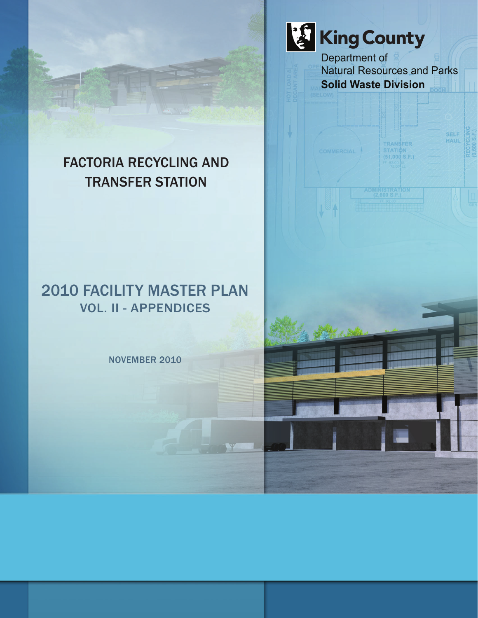King County Department of Natural Resources and Parks **Solid Waste Division**

> TRANSFER **STATION**<br>(51,000 S.F.)

OMMERCIAL

**SELF** HATI

## FACTORIA RECYCLING AND TRANSFER STATION

### 2010 FACILITY MASTER PLAN VOL. II - APPENDICES

NOVEMBER 2010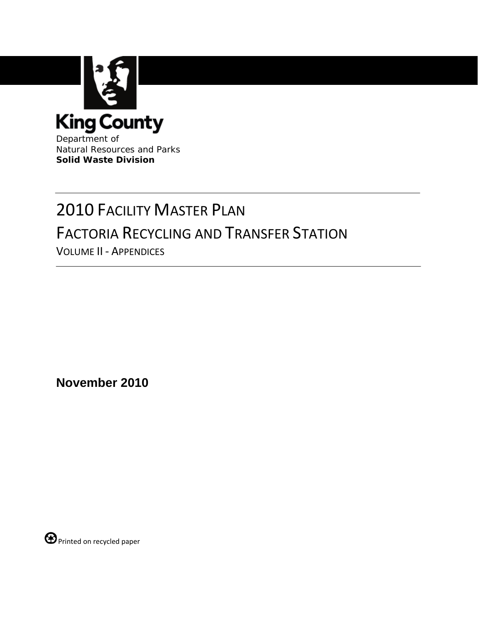

Department of Natural Resources and Parks **Solid Waste Division**

# 2010 FACILITY MASTER PLAN FACTORIA RECYCLING AND TRANSFER STATION

VOLUME II ‐ APPENDICES

**November 2010**

 $\bigoplus$  Printed on recycled paper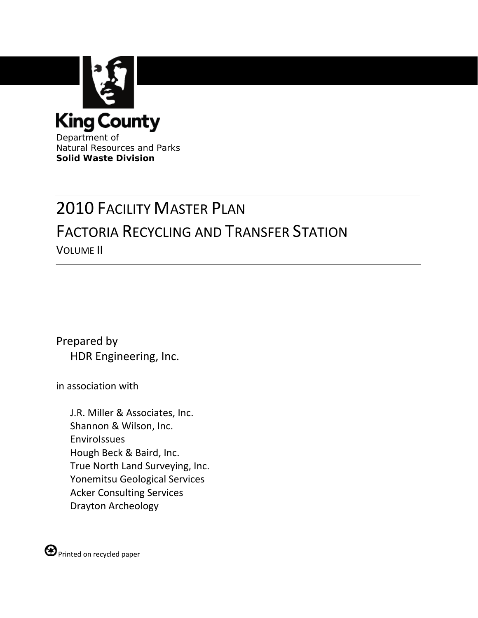

Department of Natural Resources and Parks **Solid Waste Division**

## 2010 FACILITY MASTER PLAN FACTORIA RECYCLING AND TRANSFER STATION VOLUME II

Prepared by HDR Engineering, Inc.

in association with

J.R. Miller & Associates, Inc. Shannon & Wilson, Inc. EnviroIssues Hough Beck & Baird, Inc. True North Land Surveying, Inc. Yonemitsu Geological Services Acker Consulting Services Drayton Archeology

 $\bigoplus$  Printed on recycled paper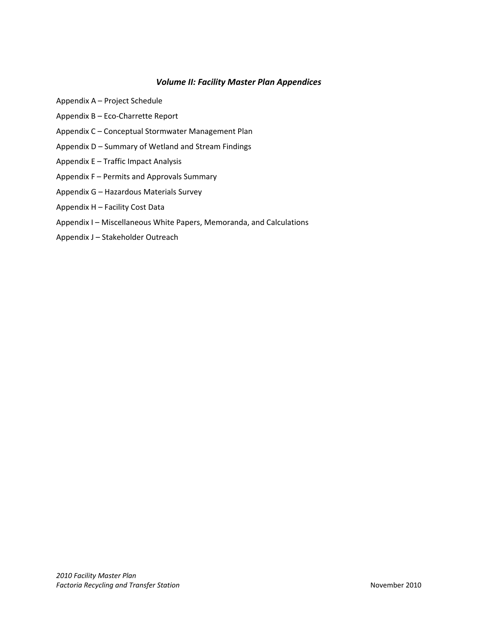#### *Volume II: Facility Master Plan Appendices*

- Appendix A Project Schedule
- Appendix B Eco‐Charrette Report
- Appendix C Conceptual Stormwater Management Plan
- Appendix D Summary of Wetland and Stream Findings
- Appendix E Traffic Impact Analysis
- Appendix F Permits and Approvals Summary
- Appendix G Hazardous Materials Survey
- Appendix H Facility Cost Data
- Appendix I Miscellaneous White Papers, Memoranda, and Calculations
- Appendix J Stakeholder Outreach